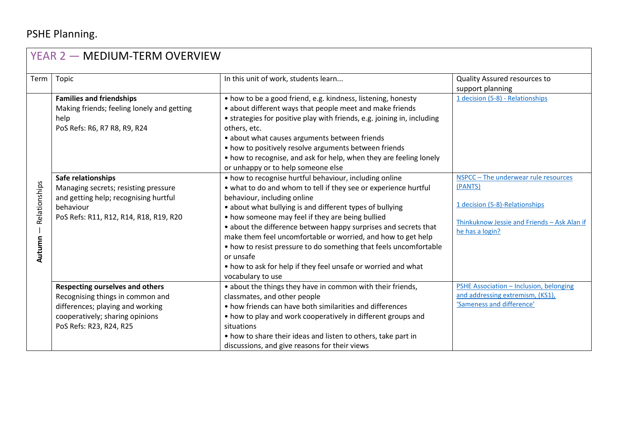## PSHE Planning.

| YEAR 2 - MEDIUM-TERM OVERVIEW |                                                                                                                                                                                                                                                                                     |                                                                                                                                                                                                                                                                                                                                                                                                                                                                                                                                                                                                                                                                                                                                                                                                                                                                                                                                                                                                                                  |                                                                                                                                                                                       |  |  |  |
|-------------------------------|-------------------------------------------------------------------------------------------------------------------------------------------------------------------------------------------------------------------------------------------------------------------------------------|----------------------------------------------------------------------------------------------------------------------------------------------------------------------------------------------------------------------------------------------------------------------------------------------------------------------------------------------------------------------------------------------------------------------------------------------------------------------------------------------------------------------------------------------------------------------------------------------------------------------------------------------------------------------------------------------------------------------------------------------------------------------------------------------------------------------------------------------------------------------------------------------------------------------------------------------------------------------------------------------------------------------------------|---------------------------------------------------------------------------------------------------------------------------------------------------------------------------------------|--|--|--|
| Term                          | Topic                                                                                                                                                                                                                                                                               | In this unit of work, students learn                                                                                                                                                                                                                                                                                                                                                                                                                                                                                                                                                                                                                                                                                                                                                                                                                                                                                                                                                                                             | Quality Assured resources to<br>support planning                                                                                                                                      |  |  |  |
| Relationships<br>Autumn       | <b>Families and friendships</b><br>Making friends; feeling lonely and getting<br>help<br>PoS Refs: R6, R7 R8, R9, R24<br>Safe relationships<br>Managing secrets; resisting pressure<br>and getting help; recognising hurtful<br>behaviour<br>PoS Refs: R11, R12, R14, R18, R19, R20 | • how to be a good friend, e.g. kindness, listening, honesty<br>• about different ways that people meet and make friends<br>• strategies for positive play with friends, e.g. joining in, including<br>others, etc.<br>• about what causes arguments between friends<br>• how to positively resolve arguments between friends<br>• how to recognise, and ask for help, when they are feeling lonely<br>or unhappy or to help someone else<br>• how to recognise hurtful behaviour, including online<br>• what to do and whom to tell if they see or experience hurtful<br>behaviour, including online<br>• about what bullying is and different types of bullying<br>• how someone may feel if they are being bullied<br>• about the difference between happy surprises and secrets that<br>make them feel uncomfortable or worried, and how to get help<br>• how to resist pressure to do something that feels uncomfortable<br>or unsafe<br>• how to ask for help if they feel unsafe or worried and what<br>vocabulary to use | 1 decision (5-8) - Relationships<br>NSPCC-The underwear rule resources<br>(PANTS)<br>1 decision (5-8)-Relationships<br>Thinkuknow Jessie and Friends - Ask Alan if<br>he has a login? |  |  |  |
|                               | <b>Respecting ourselves and others</b><br>Recognising things in common and<br>differences; playing and working<br>cooperatively; sharing opinions<br>PoS Refs: R23, R24, R25                                                                                                        | • about the things they have in common with their friends,<br>classmates, and other people<br>• how friends can have both similarities and differences<br>• how to play and work cooperatively in different groups and<br>situations<br>• how to share their ideas and listen to others, take part in                                                                                                                                                                                                                                                                                                                                                                                                                                                                                                                                                                                                                                                                                                                            | PSHE Association - Inclusion, belonging<br>and addressing extremism, (KS1),<br>'Sameness and difference'                                                                              |  |  |  |
|                               |                                                                                                                                                                                                                                                                                     | discussions, and give reasons for their views                                                                                                                                                                                                                                                                                                                                                                                                                                                                                                                                                                                                                                                                                                                                                                                                                                                                                                                                                                                    |                                                                                                                                                                                       |  |  |  |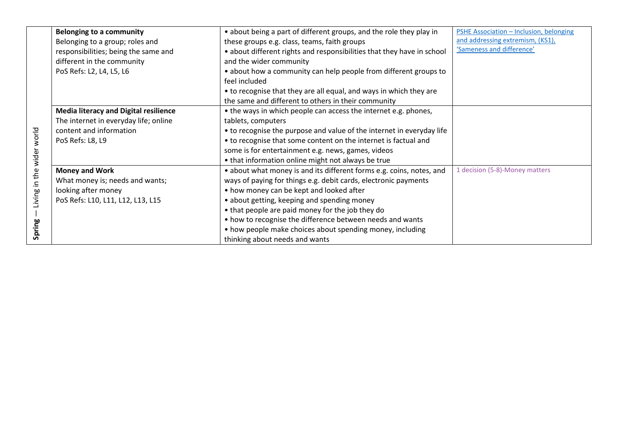|                           | <b>Belonging to a community</b>              | • about being a part of different groups, and the role they play in    | PSHE Association - Inclusion, belonging |
|---------------------------|----------------------------------------------|------------------------------------------------------------------------|-----------------------------------------|
|                           | Belonging to a group; roles and              | these groups e.g. class, teams, faith groups                           | and addressing extremism, (KS1),        |
|                           | responsibilities; being the same and         | • about different rights and responsibilities that they have in school | 'Sameness and difference'               |
|                           | different in the community                   | and the wider community                                                |                                         |
|                           | PoS Refs: L2, L4, L5, L6                     | • about how a community can help people from different groups to       |                                         |
|                           |                                              | feel included                                                          |                                         |
|                           |                                              | • to recognise that they are all equal, and ways in which they are     |                                         |
|                           |                                              | the same and different to others in their community                    |                                         |
|                           | <b>Media literacy and Digital resilience</b> | • the ways in which people can access the internet e.g. phones,        |                                         |
|                           | The internet in everyday life; online        | tablets, computers                                                     |                                         |
|                           | content and information                      | • to recognise the purpose and value of the internet in everyday life  |                                         |
|                           | PoS Refs: L8, L9                             | • to recognise that some content on the internet is factual and        |                                         |
|                           |                                              | some is for entertainment e.g. news, games, videos                     |                                         |
|                           |                                              | • that information online might not always be true                     |                                         |
|                           | <b>Money and Work</b>                        | • about what money is and its different forms e.g. coins, notes, and   | 1 decision (5-8)-Money matters          |
| Living in the wider world | What money is; needs and wants;              | ways of paying for things e.g. debit cards, electronic payments        |                                         |
|                           | looking after money                          | • how money can be kept and looked after                               |                                         |
|                           | PoS Refs: L10, L11, L12, L13, L15            | • about getting, keeping and spending money                            |                                         |
|                           |                                              | • that people are paid money for the job they do                       |                                         |
|                           |                                              | • how to recognise the difference between needs and wants              |                                         |
| Spring                    |                                              | • how people make choices about spending money, including              |                                         |
|                           |                                              | thinking about needs and wants                                         |                                         |